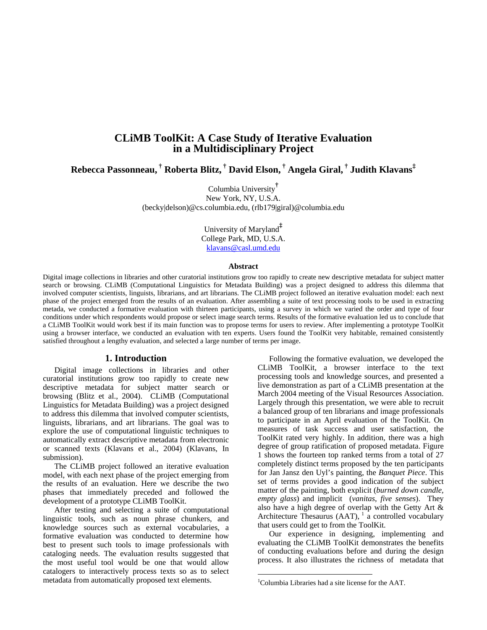# **CLiMB ToolKit: A Case Study of Iterative Evaluation in a Multidisciplinary Project**

**Rebecca Passonneau, † Roberta Blitz, † David Elson, † Angela Giral, † Judith Klavans‡** 

Columbia University**†** New York, NY, U.S.A. (becky|delson)@cs.columbia.edu, (rlb179|giral)@columbia.edu

> University of Maryland**‡** College Park, MD, U.S.A. klavans@casl.umd.edu

#### **Abstract**

Digital image collections in libraries and other curatorial institutions grow too rapidly to create new descriptive metadata for subject matter search or browsing. CLiMB (Computational Linguistics for Metadata Building) was a project designed to address this dilemma that involved computer scientists, linguists, librarians, and art librarians. The CLiMB project followed an iterative evaluation model: each next phase of the project emerged from the results of an evaluation. After assembling a suite of text processing tools to be used in extracting metada, we conducted a formative evaluation with thirteen participants, using a survey in which we varied the order and type of four conditions under which respondents would propose or select image search terms. Results of the formative evaluation led us to conclude that a CLiMB ToolKit would work best if its main function was to propose terms for users to review. After implementing a prototype ToolKit using a browser interface, we conducted an evaluation with ten experts. Users found the ToolKit very habitable, remained consistently satisfied throughout a lengthy evaluation, and selected a large number of terms per image.

 $\overline{a}$ 

### **1. Introduction**

Digital image collections in libraries and other curatorial institutions grow too rapidly to create new descriptive metadata for subject matter search or browsing (Blitz et al., 2004). CLiMB (Computational Linguistics for Metadata Building) was a project designed to address this dilemma that involved computer scientists, linguists, librarians, and art librarians. The goal was to explore the use of computational linguistic techniques to automatically extract descriptive metadata from electronic or scanned texts (Klavans et al., 2004) (Klavans, In submission).

The CLiMB project followed an iterative evaluation model, with each next phase of the project emerging from the results of an evaluation. Here we describe the two phases that immediately preceded and followed the development of a prototype CLiMB ToolKit.

After testing and selecting a suite of computational linguistic tools, such as noun phrase chunkers, and knowledge sources such as external vocabularies, a formative evaluation was conducted to determine how best to present such tools to image professionals with cataloging needs. The evaluation results suggested that the most useful tool would be one that would allow catalogers to interactively process texts so as to select metadata from automatically proposed text elements.

Following the formative evaluation, we developed the CLiMB ToolKit, a browser interface to the text processing tools and knowledge sources, and presented a live demonstration as part of a CLiMB presentation at the March 2004 meeting of the Visual Resources Association. Largely through this presentation, we were able to recruit a balanced group of ten librarians and image professionals to participate in an April evaluation of the ToolKit. On measures of task success and user satisfaction, the ToolKit rated very highly. In addition, there was a high degree of group ratification of proposed metadata. [Figure](#page-1-0)  [1](#page-1-0) shows the fourteen top ranked terms from a total of 27 completely distinct terms proposed by the ten participants for Jan Jansz den Uyl's painting, the *Banquet Piece*. This set of terms provides a good indication of the subject matter of the painting, both explicit (*burned down candle, empty glass*) and implicit (*vanitas*, *five senses*). They also have a high degree of overlap with the Getty Art & Architecture Thesaurus  $(AAT)$ ,  $\frac{1}{4}$  a controlled vocabulary that users could get to from the ToolKit.

Our experience in designing, implementing and evaluating the CLiMB ToolKit demonstrates the benefits of conducting evaluations before and during the design process. It also illustrates the richness of metadata that

<span id="page-0-0"></span><sup>1</sup> Columbia Libraries had a site license for the AAT.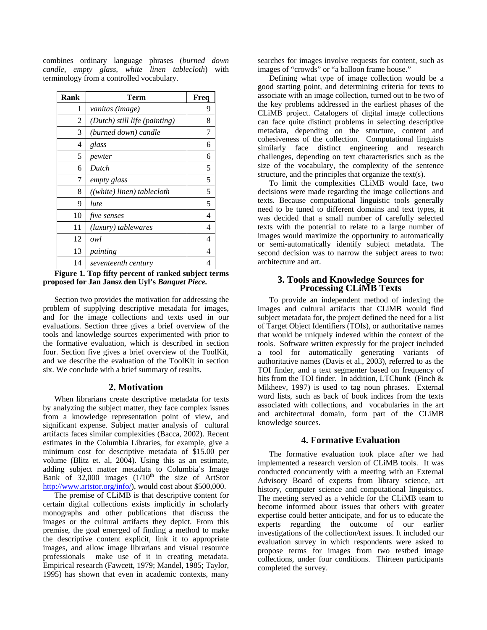combines ordinary language phrases (*burned down candle, empty glass, white linen tablecloth*) with terminology from a controlled vocabulary.

| Rank | Term                          | Freq |
|------|-------------------------------|------|
| 1    | vanitas (image)               | 9    |
| 2    | (Dutch) still life (painting) | 8    |
| 3    | (burned down) candle          | 7    |
| 4    | glass                         | 6    |
| 5    | pewter                        | 6    |
| 6    | Dutch                         | 5    |
| 7    | empty glass                   | 5    |
| 8    | ((white) linen) tablecloth    | 5    |
| 9    | lute                          | 5    |
| 10   | <i>five senses</i>            | 4    |
| 11   | (luxury) tablewares           | 4    |
| 12   | owl                           | 4    |
| 13   | painting                      | 4    |
| 14   | seventeenth century           | 4    |

<span id="page-1-0"></span>**Figure 1. Top fifty percent of ranked subject terms proposed for Jan Jansz den Uyl's** *Banquet Piece.*

Section two provides the motivation for addressing the problem of supplying descriptive metadata for images, and for the image collections and texts used in our evaluations. Section three gives a brief overview of the tools and knowledge sources experimented with prior to the formative evaluation, which is described in section four. Section five gives a brief overview of the ToolKit, and we describe the evaluation of the ToolKit in section six. We conclude with a brief summary of results.

### **2. Motivation**

When librarians create descriptive metadata for texts by analyzing the subject matter, they face complex issues from a knowledge representation point of view, and significant expense. Subject matter analysis of cultural artifacts faces similar complexities (Bacca, 2002). Recent estimates in the Columbia Libraries, for example, give a minimum cost for descriptive metadata of \$15.00 per volume (Blitz et. al, 2004). Using this as an estimate, adding subject matter metadata to Columbia's Image Bank of  $32,000$  images  $(1/10<sup>th</sup>$  the size of ArtStor http://www.artstor.org/info/), would cost about \$500,000.

The premise of CLiMB is that descriptive content for certain digital collections exists implicitly in scholarly monographs and other publications that discuss the images or the cultural artifacts they depict. From this premise, the goal emerged of finding a method to make the descriptive content explicit, link it to appropriate images, and allow image librarians and visual resource professionals make use of it in creating metadata. Empirical research (Fawcett, 1979; Mandel, 1985; Taylor, 1995) has shown that even in academic contexts, many searches for images involve requests for content, such as images of "crowds" or "a balloon frame house."

Defining what type of image collection would be a good starting point, and determining criteria for texts to associate with an image collection, turned out to be two of the key problems addressed in the earliest phases of the CLiMB project. Catalogers of digital image collections can face quite distinct problems in selecting descriptive metadata, depending on the structure, content and cohesiveness of the collection. Computational linguists similarly face distinct engineering and research challenges, depending on text characteristics such as the size of the vocabulary, the complexity of the sentence structure, and the principles that organize the text(s).

To limit the complexities CLiMB would face, two decisions were made regarding the image collections and texts. Because computational linguistic tools generally need to be tuned to different domains and text types, it was decided that a small number of carefully selected texts with the potential to relate to a large number of images would maximize the opportunity to automatically or semi-automatically identify subject metadata. The second decision was to narrow the subject areas to two: architecture and art.

### **3. Tools and Knowledge Sources for Processing CLiMB Texts**

To provide an independent method of indexing the images and cultural artifacts that CLiMB would find subject metadata for, the project defined the need for a list of Target Object Identifiers (TOIs), or authoritative names that would be uniquely indexed within the context of the tools. Software written expressly for the project included a tool for automatically generating variants of authoritative names (Davis et al., 2003), referred to as the TOI finder, and a text segmenter based on frequency of hits from the TOI finder. In addition, LTChunk (Finch & Mikheev, 1997) is used to tag noun phrases. External word lists, such as back of book indices from the texts associated with collections, and vocabularies in the art and architectural domain, form part of the CLiMB knowledge sources.

## **4. Formative Evaluation**

The formative evaluation took place after we had implemented a research version of CLiMB tools. It was conducted concurrently with a meeting with an External Advisory Board of experts from library science, art history, computer science and computational linguistics. The meeting served as a vehicle for the CLiMB team to become informed about issues that others with greater expertise could better anticipate, and for us to educate the experts regarding the outcome of our earlier investigations of the collection/text issues. It included our evaluation survey in which respondents were asked to propose terms for images from two testbed image collections, under four conditions. Thirteen participants completed the survey.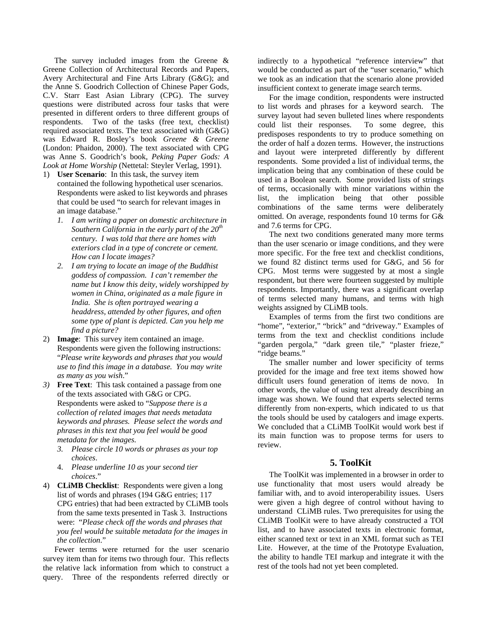The survey included images from the Greene & Greene Collection of Architectural Records and Papers, Avery Architectural and Fine Arts Library (G&G); and the Anne S. Goodrich Collection of Chinese Paper Gods, C.V. Starr East Asian Library (CPG). The survey questions were distributed across four tasks that were presented in different orders to three different groups of respondents. Two of the tasks (free text, checklist) required associated texts. The text associated with (G&G) was Edward R. Bosley's book *Greene & Greene* (London: Phaidon, 2000). The text associated with CPG was Anne S. Goodrich's book, *Peking Paper Gods: A Look at Home Worship* (Nettetal: Steyler Verlag, 1991).

- 1) **User Scenario**: In this task, the survey item contained the following hypothetical user scenarios. Respondents were asked to list keywords and phrases that could be used "to search for relevant images in an image database."
	- *1. I am writing a paper on domestic architecture in Southern California in the early part of the 20th century. I was told that there are homes with exteriors clad in a type of concrete or cement. How can I locate images?*
	- *2. I am trying to locate an image of the Buddhist goddess of compassion. I can't remember the name but I know this deity, widely worshipped by women in China, originated as a male figure in India. She is often portrayed wearing a headdress, attended by other figures, and often some type of plant is depicted. Can you help me find a picture?*
- 2) **Image**: This survey item contained an image. Respondents were given the following instructions: "*Please write keywords and phrases that you would use to find this image in a database. You may write as many as you wish*."
- *3)* **Free Text**: This task contained a passage from one of the texts associated with G&G or CPG. Respondents were asked to "*Suppose there is a collection of related images that needs metadata keywords and phrases. Please select the words and phrases in this text that you feel would be good metadata for the images.* 
	- *3. Please circle 10 words or phrases as your top choices*.
	- 4. *Please underline 10 as your second tier choices*."
- 4) **CLiMB Checklist**: Respondents were given a long list of words and phrases (194 G&G entries; 117 CPG entries) that had been extracted by CLiMB tools from the same texts presented in Task 3. Instructions were: "*Please check off the words and phrases that you feel would be suitable metadata for the images in the collection*."

Fewer terms were returned for the user scenario survey item than for items two through four. This reflects the relative lack information from which to construct a query. Three of the respondents referred directly or indirectly to a hypothetical "reference interview" that would be conducted as part of the "user scenario," which we took as an indication that the scenario alone provided insufficient context to generate image search terms.

For the image condition, respondents were instructed to list words and phrases for a keyword search. The survey layout had seven bulleted lines where respondents could list their responses. To some degree, this predisposes respondents to try to produce something on the order of half a dozen terms. However, the instructions and layout were interpreted differently by different respondents. Some provided a list of individual terms, the implication being that any combination of these could be used in a Boolean search. Some provided lists of strings of terms, occasionally with minor variations within the list, the implication being that other possible combinations of the same terms were deliberately omitted. On average, respondents found 10 terms for G& and 7.6 terms for CPG.

The next two conditions generated many more terms than the user scenario or image conditions, and they were more specific. For the free text and checklist conditions, we found 82 distinct terms used for G&G, and 56 for CPG. Most terms were suggested by at most a single respondent, but there were fourteen suggested by multiple respondents. Importantly, there was a significant overlap of terms selected many humans, and terms with high weights assigned by CLiMB tools.

Examples of terms from the first two conditions are "home", "exterior," "brick" and "driveway." Examples of terms from the text and checklist conditions include "garden pergola," "dark green tile," "plaster frieze," "ridge beams."

The smaller number and lower specificity of terms provided for the image and free text items showed how difficult users found generation of items de novo. In other words, the value of using text already describing an image was shown. We found that experts selected terms differently from non-experts, which indicated to us that the tools should be used by catalogers and image experts. We concluded that a CLiMB ToolKit would work best if its main function was to propose terms for users to review.

## **5. ToolKit**

The ToolKit was implemented in a browser in order to use functionality that most users would already be familiar with, and to avoid interoperability issues. Users were given a high degree of control without having to understand CLiMB rules. Two prerequisites for using the CLiMB ToolKit were to have already constructed a TOI list, and to have associated texts in electronic format, either scanned text or text in an XML format such as TEI Lite. However, at the time of the Prototype Evaluation, the ability to handle TEI markup and integrate it with the rest of the tools had not yet been completed.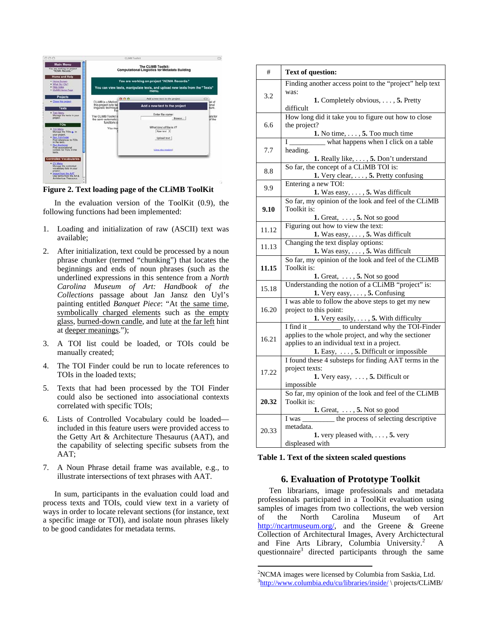

**Figure 2. Text loading page of the CLiMB ToolKit**

In the evaluation version of the ToolKit (0.9), the following functions had been implemented:

- 1. Loading and initialization of raw (ASCII) text was available;
- 2. After initialization, text could be processed by a noun phrase chunker (termed "chunking") that locates the beginnings and ends of noun phrases (such as the underlined expressions in this sentence from a *North Carolina Museum of Art: Handbook of the Collections* passage about Jan Jansz den Uyl's painting entitled *Banquet Piece*: "At the same time, symbolically charged elements such as the empty glass, burned-down candle, and lute at the far left hint at deeper meanings.");
- 3. A TOI list could be loaded, or TOIs could be manually created;
- 4. The TOI Finder could be run to locate references to TOIs in the loaded texts;
- 5. Texts that had been processed by the TOI Finder could also be sectioned into associational contexts correlated with specific TOIs;
- 6. Lists of Controlled Vocabulary could be loaded included in this feature users were provided access to the Getty Art & Architecture Thesaurus (AAT), and the capability of selecting specific subsets from the AAT;
- 7. A Noun Phrase detail frame was available, e.g., to illustrate intersections of text phrases with AAT.

In sum, participants in the evaluation could load and process texts and TOIs, could view text in a variety of ways in order to locate relevant sections (for instance, text a specific image or TOI), and isolate noun phrases likely to be good candidates for metadata terms.

| #     | <b>Text of question:</b>                                                                        |
|-------|-------------------------------------------------------------------------------------------------|
| 3.2   | Finding another access point to the "project" help text                                         |
|       | was:                                                                                            |
|       | <b>1.</b> Completely obvious, $\dots$ , <b>5.</b> Pretty                                        |
|       | difficult                                                                                       |
| 6.6   | How long did it take you to figure out how to close                                             |
|       | the project?                                                                                    |
|       | 1. No time, $\dots$ , 5. Too much time                                                          |
| 7.7   | what happens when I click on a table<br>$I_{-}$                                                 |
|       | heading.                                                                                        |
|       | 1. Really like, , 5. Don't understand                                                           |
| 8.8   | So far, the concept of a CLiMB TOI is:                                                          |
|       | 1. Very clear, , 5. Pretty confusing<br>Entering a new TOI:                                     |
| 9.9   |                                                                                                 |
|       | 1. Was easy, $\dots$ , 5. Was difficult<br>So far, my opinion of the look and feel of the CLiMB |
| 9.10  | Toolkit is:                                                                                     |
|       | 1. Great, $\dots$ , 5. Not so good                                                              |
|       | Figuring out how to view the text:                                                              |
| 11.12 | 1. Was easy, $\dots$ , 5. Was difficult                                                         |
|       | Changing the text display options:                                                              |
| 11.13 | 1. Was easy, $\dots$ , 5. Was difficult                                                         |
|       | So far, my opinion of the look and feel of the CLiMB                                            |
| 11.15 | Toolkit is:                                                                                     |
|       | 1. Great, $\dots$ , 5. Not so good                                                              |
| 15.18 | Understanding the notion of a CLiMB "project" is:                                               |
|       | 1. Very easy, $\dots$ , 5. Confusing                                                            |
|       | I was able to follow the above steps to get my new                                              |
| 16.20 | project to this point:                                                                          |
|       | 1. Very easily, $\dots$ , 5. With difficulty                                                    |
|       | to understand why the TOI-Finder<br>I find it                                                   |
| 16.21 | applies to the whole project, and why the sectioner                                             |
|       | applies to an individual text in a project.                                                     |
|       | 1. Easy, , 5. Difficult or impossible                                                           |
|       | I found these 4 substeps for finding AAT terms in the                                           |
| 17.22 | project texts:<br>1. Very easy, $\dots$ , 5. Difficult or                                       |
|       |                                                                                                 |
|       | impossible<br>So far, my opinion of the look and feel of the CLiMB                              |
| 20.32 | Toolkit is:                                                                                     |
|       | 1. Great, , 5. Not so good                                                                      |
| 20.33 | I was _______ the process of selecting descriptive                                              |
|       | metadata.                                                                                       |
|       | <b>1.</b> very pleased with, $\dots$ , <b>5.</b> very                                           |
|       | displeased with                                                                                 |

<span id="page-3-2"></span>

## **6. Evaluation of Prototype Toolkit**

Ten librarians, image professionals and metadata professionals participated in a ToolKit evaluation using samples of images from two collections, the web version of the North Carolina Museum of Art http://ncartmuseum.org/, and the Greene & Greene Collection of Architectural Images, Avery Archictectural and Fine Arts Library, Columbia University.<sup>2</sup> A questionnaire<sup>3</sup> directed participants through the same

 $\overline{a}$ 

<span id="page-3-1"></span><span id="page-3-0"></span><sup>&</sup>lt;sup>2</sup>NCMA images were licensed by Columbia from Saskia, Ltd. <sup>3</sup>http://www.columbia.edu/cu/libraries/inside/ \ projects/CLiMB/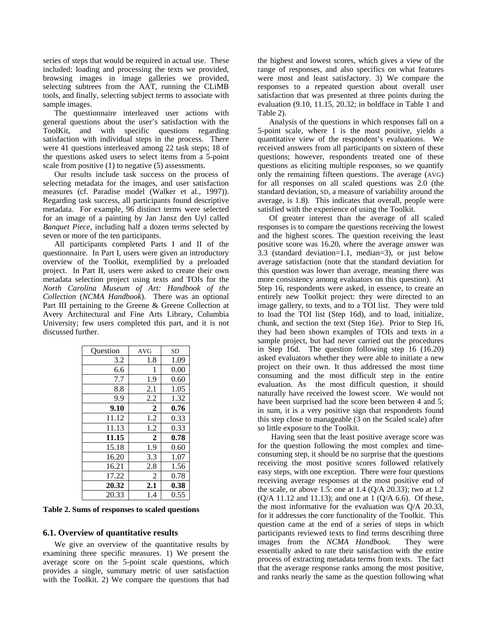series of steps that would be required in actual use. These included: loading and processing the texts we provided, browsing images in image galleries we provided, selecting subtrees from the AAT, running the CLiMB tools, and finally, selecting subject terms to associate with sample images.

The questionnaire interleaved user actions with general questions about the user's satisfaction with the ToolKit, and with specific questions regarding satisfaction with individual steps in the process. There were 41 questions interleaved among 22 task steps; 18 of the questions asked users to select items from a 5-point scale from positive (1) to negative (5) assessments.

Our results include task success on the process of selecting metadata for the images, and user satisfaction measures (cf. Paradise model (Walker et al., 1997)). Regarding task success, all participants found descriptive metadata. For example, 96 distinct terms were selected for an image of a painting by Jan Jansz den Uyl called *Banquet Piece*, including half a dozen terms selected by seven or more of the ten participants.

All participants completed Parts I and II of the questionnaire. In Part I, users were given an introductory overview of the Toolkit, exemplified by a preloaded project. In Part II, users were asked to create their own metadata selection project using texts and TOIs for the *North Carolina Museum of Art: Handbook of the Collection* (*NCMA Handbook*). There was an optional Part III pertaining to the Greene & Greene Collection at Avery Architectural and Fine Arts Library, Columbia University; few users completed this part, and it is not discussed further.

| Ouestion | AVG            | <b>SD</b> |
|----------|----------------|-----------|
| 3.2      | 1.8            | 1.09      |
| 6.6      | 1              | 0.00      |
| 7.7      | 1.9            | 0.60      |
| 8.8      | 2.1            | 1.05      |
| 9.9      | 2.2            | 1.32      |
| 9.10     | $\mathbf 2$    | 0.76      |
| 11.12    | 1.2            | 0.33      |
| 11.13    | 1.2            | 0.33      |
| 11.15    | $\overline{2}$ | 0.78      |
| 15.18    | 1.9            | 0.60      |
| 16.20    | 3.3            | 1.07      |
| 16.21    | 2.8            | 1.56      |
| 17.22    | 2              | 0.78      |
| 20.32    | 2.1            | 0.38      |
| 20.33    | 1.4            | 0.55      |

<span id="page-4-0"></span>**Table 2. Sums of responses to scaled questions**

### **6.1. Overview of quantitative results**

We give an overview of the quantitative results by examining three specific measures. 1) We present the average score on the 5-point scale questions, which provides a single, summary metric of user satisfaction with the Toolkit. 2) We compare the questions that had the highest and lowest scores, which gives a view of the range of responses, and also specifics on what features were most and least satisfactory. 3) We compare the responses to a repeated question about overall user satisfaction that was presented at three points during the evaluation (9.10, 11.15, 20.32; in boldface in [Table 1](#page-3-2) and [Table 2\)](#page-4-0).

Analysis of the questions in which responses fall on a 5-point scale, where 1 is the most positive, yields a quantitative view of the respondent's evaluations. We received answers from all participants on sixteen of these questions; however, respondents treated one of these questions as eliciting multiple responses, so we quantify only the remaining fifteen questions. The average (AVG) for all responses on all scaled questions was 2.0 (the standard deviation, SD, a measure of variability around the average, is 1.8). This indicates that overall, people were satisfied with the experience of using the Toolkit.

Of greater interest than the average of all scaled responses is to compare the questions receiving the lowest and the highest scores. The question receiving the least positive score was 16.20, where the average answer was 3.3 (standard deviation=1.1, median=3), or just below average satisfaction (note that the standard deviation for this question was lower than average, meaning there was more consistency among evaluators on this question). At Step 16, respondents were asked, in essence, to create an entirely new Toolkit project: they were directed to an image gallery, to texts, and to a TOI list. They were told to load the TOI list (Step 16d), and to load, initialize, chunk, and section the text (Step 16e). Prior to Step 16, they had been shown examples of TOIs and texts in a sample project, but had never carried out the procedures in Step 16d. The question following step 16 (16.20) asked evaluators whether they were able to initiate a new project on their own. It thus addressed the most time consuming and the most difficult step in the entire evaluation. As the most difficult question, it should naturally have received the lowest score. We would not have been surprised had the score been between 4 and 5; in sum, it is a very positive sign that respondents found this step close to manageable (3 on the Scaled scale) after so little exposure to the Toolkit.

 Having seen that the least positive average score was for the question following the most complex and timeconsuming step, it should be no surprise that the questions receiving the most positive scores followed relatively easy steps, with one exception. There were four questions receiving average responses at the most positive end of the scale, or above 1.5: one at 1.4 (Q/A 20.33); two at 1.2 (Q/A 11.12 and 11.13); and one at 1 (Q/A 6.6). Of these, the most informative for the evaluation was Q/A 20.33, for it addresses the core functionality of the Toolkit. This question came at the end of a series of steps in which participants reviewed texts to find terms describing three images from the *NCMA Handbook*. They were essentially asked to rate their satisfaction with the entire process of extracting metadata terms from texts. The fact that the average response ranks among the most positive, and ranks nearly the same as the question following what